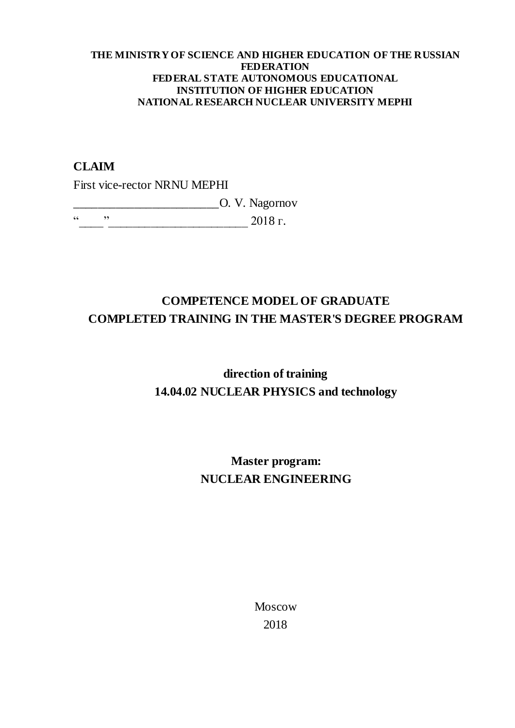#### **THE MINISTRY OF SCIENCE AND HIGHER EDUCATION OF THE RUSSIAN FEDERATION FEDERAL STATE AUTONOMOUS EDUCATIONAL INSTITUTION OF HIGHER EDUCATION NATIONAL RESEARCH NUCLEAR UNIVERSITY MEPHI**

### **CLAIM**

First vice-rector NRNU MEPHI

\_\_\_\_\_\_\_\_\_\_\_\_\_\_\_\_\_\_\_\_\_\_\_\_O. V. Nagornov

 $\frac{1}{2018}$   $\frac{1}{2018}$   $\frac{1}{2018}$   $\frac{1}{2018}$   $\frac{1}{2018}$   $\frac{1}{2018}$   $\frac{1}{2018}$   $\frac{1}{2018}$   $\frac{1}{2018}$   $\frac{1}{2018}$   $\frac{1}{2018}$   $\frac{1}{2018}$   $\frac{1}{2018}$   $\frac{1}{2018}$   $\frac{1}{2018}$   $\frac{1}{2018}$   $\frac{1}{2018}$ 

## **COMPETENCE MODEL OF GRADUATE COMPLETED TRAINING IN THE MASTER'S DEGREE PROGRAM**

# **direction of training 14.04.02 NUCLEAR PHYSICS and technology**

## **Master program: NUCLEAR ENGINEERING**

Moscow 2018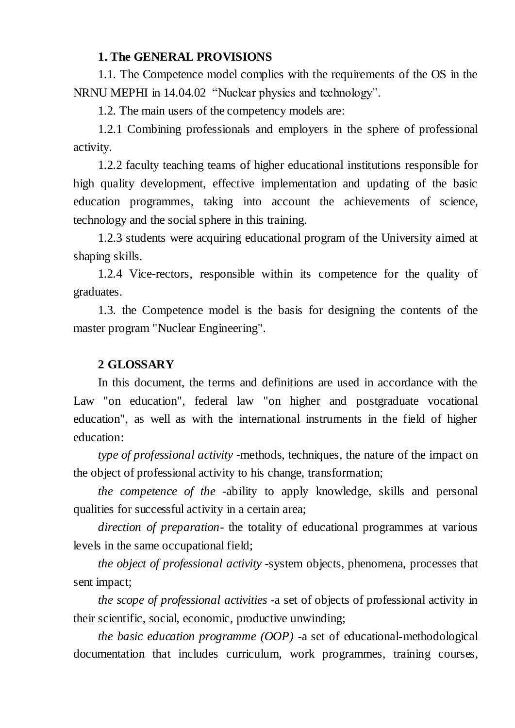### **1. The GENERAL PROVISIONS**

1.1. The Competence model complies with the requirements of the OS in the NRNU MEPHI in 14.04.02 "Nuclear physics and technology".

1.2. The main users of the competency models are:

1.2.1 Combining professionals and employers in the sphere of professional activity.

1.2.2 faculty teaching teams of higher educational institutions responsible for high quality development, effective implementation and updating of the basic education programmes, taking into account the achievements of science, technology and the social sphere in this training.

1.2.3 students were acquiring educational program of the University aimed at shaping skills.

1.2.4 Vice-rectors, responsible within its competence for the quality of graduates.

1.3. the Competence model is the basis for designing the contents of the master program "Nuclear Engineering".

### **2 GLOSSARY**

In this document, the terms and definitions are used in accordance with the Law "on education", federal law "on higher and postgraduate vocational education", as well as with the international instruments in the field of higher education:

*type of professional activity* -methods, techniques, the nature of the impact on the object of professional activity to his change, transformation;

*the competence of the* -ability to apply knowledge, skills and personal qualities for successful activity in a certain area;

*direction of preparation-* the totality of educational programmes at various levels in the same occupational field;

*the object of professional activity* -system objects, phenomena, processes that sent impact;

*the scope of professional activities* -a set of objects of professional activity in their scientific, social, economic, productive unwinding;

*the basic education programme (OOP)* -a set of educational-methodological documentation that includes curriculum, work programmes, training courses,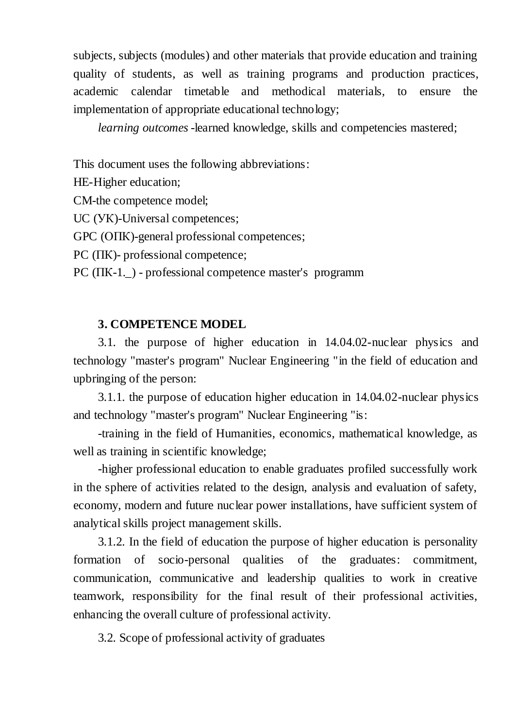subjects, subjects (modules) and other materials that provide education and training quality of students, as well as training programs and production practices, academic calendar timetable and methodical materials, to ensure the implementation of appropriate educational technology;

*learning outcomes* -learned knowledge, skills and competencies mastered;

This document uses the following abbreviations:

HE-Higher education;

CM-the competence model;

UC (УК)-Universal competences;

GPC (ОПК)-general professional competences;

PC ( $\Pi$ K)- professional competence;

PC (ПК-1.\_) - professional competence master's programm

### **3. COMPETENCE MODEL**

3.1. the purpose of higher education in 14.04.02-nuclear physics and technology "master's program" Nuclear Engineering "in the field of education and upbringing of the person:

3.1.1. the purpose of education higher education in 14.04.02-nuclear physics and technology "master's program" Nuclear Engineering "is:

-training in the field of Humanities, economics, mathematical knowledge, as well as training in scientific knowledge;

-higher professional education to enable graduates profiled successfully work in the sphere of activities related to the design, analysis and evaluation of safety, economy, modern and future nuclear power installations, have sufficient system of analytical skills project management skills.

3.1.2. In the field of education the purpose of higher education is personality formation of socio-personal qualities of the graduates: commitment, communication, communicative and leadership qualities to work in creative teamwork, responsibility for the final result of their professional activities, enhancing the overall culture of professional activity.

3.2. Scope of professional activity of graduates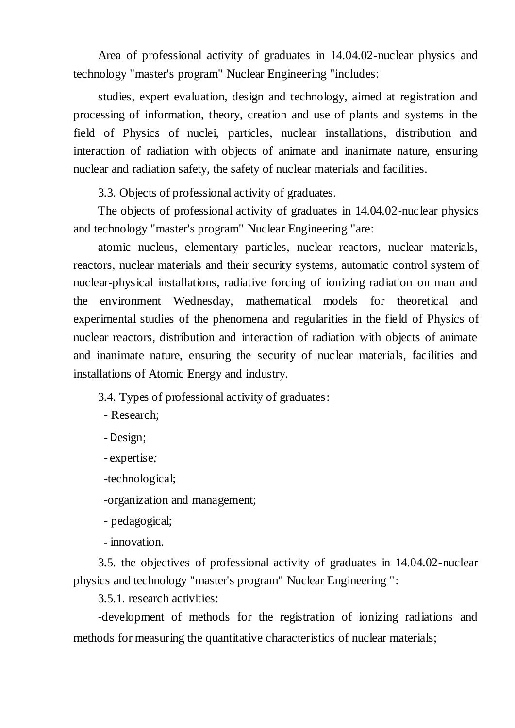Area of professional activity of graduates in 14.04.02-nuclear physics and technology "master's program" Nuclear Engineering "includes:

studies, expert evaluation, design and technology, aimed at registration and processing of information, theory, creation and use of plants and systems in the field of Physics of nuclei, particles, nuclear installations, distribution and interaction of radiation with objects of animate and inanimate nature, ensuring nuclear and radiation safety, the safety of nuclear materials and facilities.

3.3. Objects of professional activity of graduates.

The objects of professional activity of graduates in 14.04.02-nuclear physics and technology "master's program" Nuclear Engineering "are:

atomic nucleus, elementary particles, nuclear reactors, nuclear materials, reactors, nuclear materials and their security systems, automatic control system of nuclear-physical installations, radiative forcing of ionizing radiation on man and the environment Wednesday, mathematical models for theoretical and experimental studies of the phenomena and regularities in the field of Physics of nuclear reactors, distribution and interaction of radiation with objects of animate and inanimate nature, ensuring the security of nuclear materials, facilities and installations of Atomic Energy and industry.

3.4. Types of professional activity of graduates:

- Research;

-Design;

- expertise*;*

-technological;

-organization and management;

- pedagogical;

- innovation.

3.5. the objectives of professional activity of graduates in 14.04.02-nuclear physics and technology "master's program" Nuclear Engineering ":

3.5.1. research activities:

-development of methods for the registration of ionizing radiations and methods for measuring the quantitative characteristics of nuclear materials;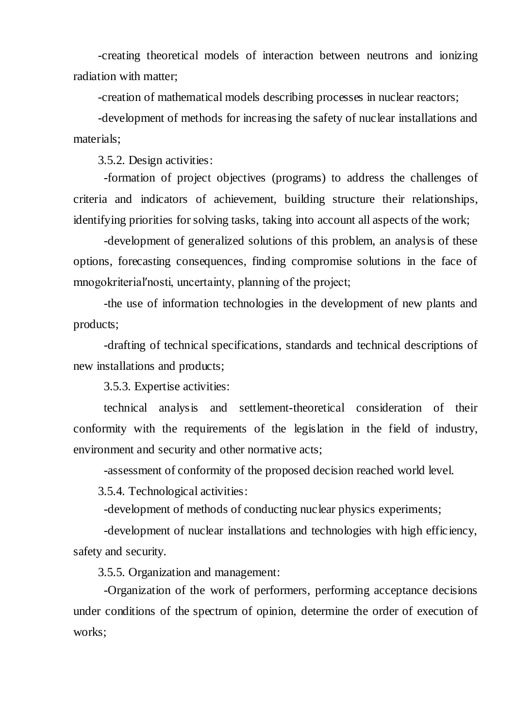-creating theoretical models of interaction between neutrons and ionizing radiation with matter;

-creation of mathematical models describing processes in nuclear reactors;

-development of methods for increasing the safety of nuclear installations and materials;

3.5.2. Design activities:

-formation of project objectives (programs) to address the challenges of criteria and indicators of achievement, building structure their relationships, identifying priorities for solving tasks, taking into account all aspects of the work;

-development of generalized solutions of this problem, an analysis of these options, forecasting consequences, finding compromise solutions in the face of mnogokriterial′nosti, uncertainty, planning of the project;

-the use of information technologies in the development of new plants and products;

-drafting of technical specifications, standards and technical descriptions of new installations and products;

3.5.3. Expertise activities:

technical analysis and settlement-theoretical consideration of their conformity with the requirements of the legislation in the field of industry, environment and security and other normative acts;

-assessment of conformity of the proposed decision reached world level.

3.5.4. Technological activities:

-development of methods of conducting nuclear physics experiments;

-development of nuclear installations and technologies with high efficiency, safety and security.

3.5.5. Organization and management:

-Organization of the work of performers, performing acceptance decisions under conditions of the spectrum of opinion, determine the order of execution of works;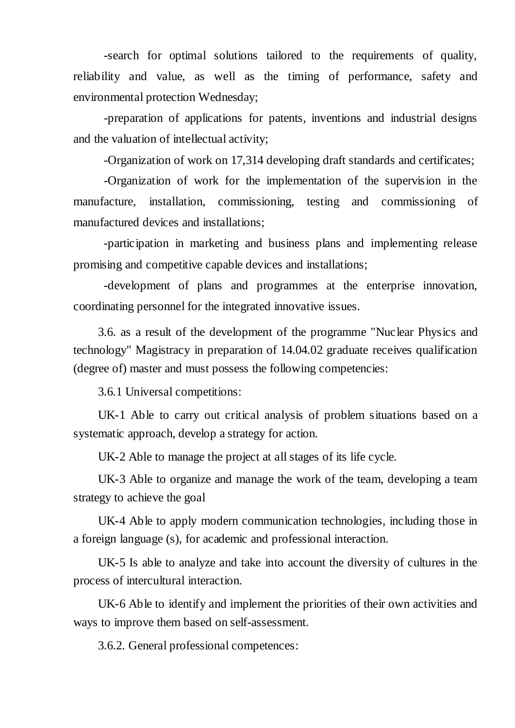-search for optimal solutions tailored to the requirements of quality, reliability and value, as well as the timing of performance, safety and environmental protection Wednesday;

-preparation of applications for patents, inventions and industrial designs and the valuation of intellectual activity;

-Organization of work on 17,314 developing draft standards and certificates;

-Organization of work for the implementation of the supervision in the manufacture, installation, commissioning, testing and commissioning of manufactured devices and installations;

-participation in marketing and business plans and implementing release promising and competitive capable devices and installations;

-development of plans and programmes at the enterprise innovation, coordinating personnel for the integrated innovative issues.

3.6. as a result of the development of the programme "Nuclear Physics and technology" Magistracy in preparation of 14.04.02 graduate receives qualification (degree of) master and must possess the following competencies:

3.6.1 Universal competitions:

UK-1 Able to carry out critical analysis of problem situations based on a systematic approach, develop a strategy for action.

UK-2 Able to manage the project at all stages of its life cycle.

UK-3 Able to organize and manage the work of the team, developing a team strategy to achieve the goal

UK-4 Able to apply modern communication technologies, including those in a foreign language (s), for academic and professional interaction.

UK-5 Is able to analyze and take into account the diversity of cultures in the process of intercultural interaction.

UK-6 Able to identify and implement the priorities of their own activities and ways to improve them based on self-assessment.

3.6.2. General professional competences: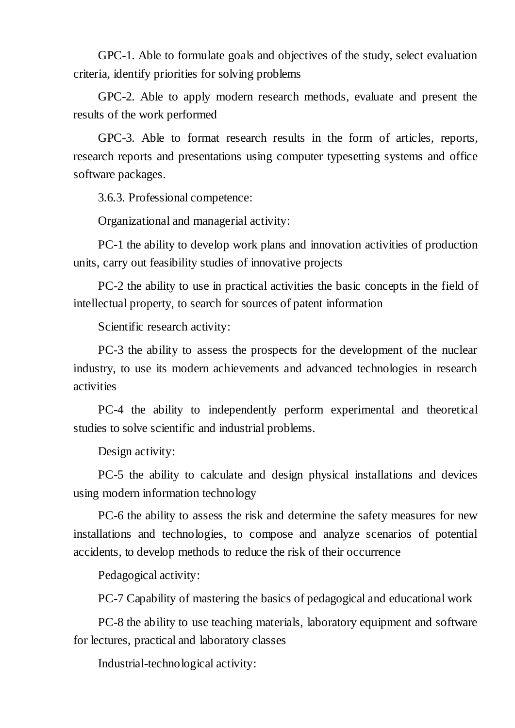GPC-1. Able to formulate goals and objectives of the study, select evaluation criteria, identify priorities for solving problems

GPC-2. Able to apply modern research methods, evaluate and present the results of the work performed

GPC-3. Able to format research results in the form of articles, reports, research reports and presentations using computer typesetting systems and office software packages.

3.6.3. Professional competence:

Organizational and managerial activity:

PC-1 the ability to develop work plans and innovation activities of production units, carry out feasibility studies of innovative projects

PC-2 the ability to use in practical activities the basic concepts in the field of intellectual property, to search for sources of patent information

Scientific research activity:

PC-3 the ability to assess the prospects for the development of the nuclear industry, to use its modern achievements and advanced technologies in research activities

PC-4 the ability to independently perform experimental and theoretical studies to solve scientific and industrial problems.

Design activity:

PC-5 the ability to calculate and design physical installations and devices using modern information technology

PC-6 the ability to assess the risk and determine the safety measures for new installations and technologies, to compose and analyze scenarios of potential accidents, to develop methods to reduce the risk of their occurrence

Pedagogical activity:

PC-7 Capability of mastering the basics of pedagogical and educational work

PC-8 the ability to use teaching materials, laboratory equipment and software for lectures, practical and laboratory classes

Industrial-technological activity: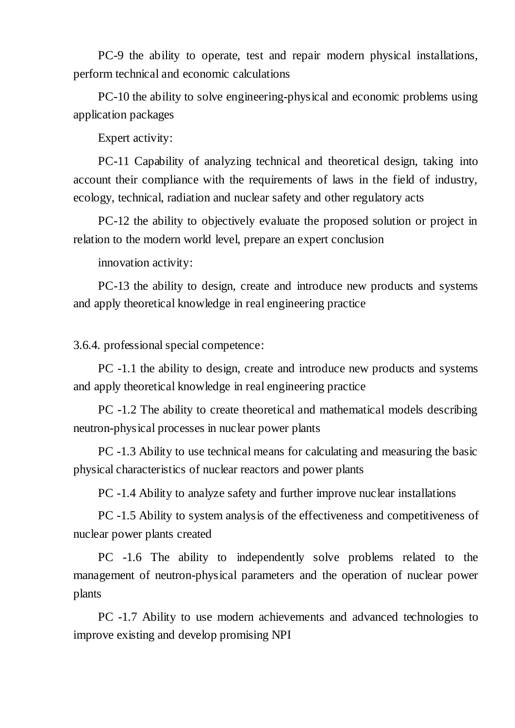PC-9 the ability to operate, test and repair modern physical installations, perform technical and economic calculations

PC-10 the ability to solve engineering-physical and economic problems using application packages

Expert activity:

PC-11 Capability of analyzing technical and theoretical design, taking into account their compliance with the requirements of laws in the field of industry, ecology, technical, radiation and nuclear safety and other regulatory acts

PC-12 the ability to objectively evaluate the proposed solution or project in relation to the modern world level, prepare an expert conclusion

innovation activity:

PC-13 the ability to design, create and introduce new products and systems and apply theoretical knowledge in real engineering practice

3.6.4. professional special competence:

PC -1.1 the ability to design, create and introduce new products and systems and apply theoretical knowledge in real engineering practice

PC -1.2 The ability to create theoretical and mathematical models describing neutron-physical processes in nuclear power plants

PC -1.3 Ability to use technical means for calculating and measuring the basic physical characteristics of nuclear reactors and power plants

PC -1.4 Ability to analyze safety and further improve nuclear installations

PC -1.5 Ability to system analysis of the effectiveness and competitiveness of nuclear power plants created

PC -1.6 The ability to independently solve problems related to the management of neutron-physical parameters and the operation of nuclear power plants

PC -1.7 Ability to use modern achievements and advanced technologies to improve existing and develop promising NPI